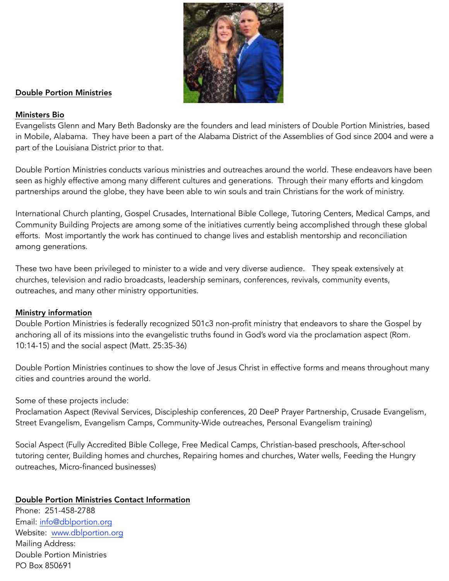

### Double Portion Ministries

#### Ministers Bio

Evangelists Glenn and Mary Beth Badonsky are the founders and lead ministers of Double Portion Ministries, based in Mobile, Alabama. They have been a part of the Alabama District of the Assemblies of God since 2004 and were a part of the Louisiana District prior to that.

Double Portion Ministries conducts various ministries and outreaches around the world. These endeavors have been seen as highly effective among many different cultures and generations. Through their many efforts and kingdom partnerships around the globe, they have been able to win souls and train Christians for the work of ministry.

International Church planting, Gospel Crusades, International Bible College, Tutoring Centers, Medical Camps, and Community Building Projects are among some of the initiatives currently being accomplished through these global efforts. Most importantly the work has continued to change lives and establish mentorship and reconciliation among generations.

These two have been privileged to minister to a wide and very diverse audience. They speak extensively at churches, television and radio broadcasts, leadership seminars, conferences, revivals, community events, outreaches, and many other ministry opportunities.

## Ministry information

Double Portion Ministries is federally recognized 501c3 non-profit ministry that endeavors to share the Gospel by anchoring all of its missions into the evangelistic truths found in God's word via the proclamation aspect (Rom. 10:14-15) and the social aspect (Matt. 25:35-36)

Double Portion Ministries continues to show the love of Jesus Christ in effective forms and means throughout many cities and countries around the world.

Some of these projects include:

Proclamation Aspect (Revival Services, Discipleship conferences, 20 DeeP Prayer Partnership, Crusade Evangelism, Street Evangelism, Evangelism Camps, Community-Wide outreaches, Personal Evangelism training)

Social Aspect (Fully Accredited Bible College, Free Medical Camps, Christian-based preschools, After-school tutoring center, Building homes and churches, Repairing homes and churches, Water wells, Feeding the Hungry outreaches, Micro-financed businesses)

## Double Portion Ministries Contact Information

Phone: 251-458-2788 Email: [info@dblportion.org](mailto:info@dblportion.org) Website: [www.dblportion.org](http://www.dblportion.org) Mailing Address: Double Portion Ministries PO Box 850691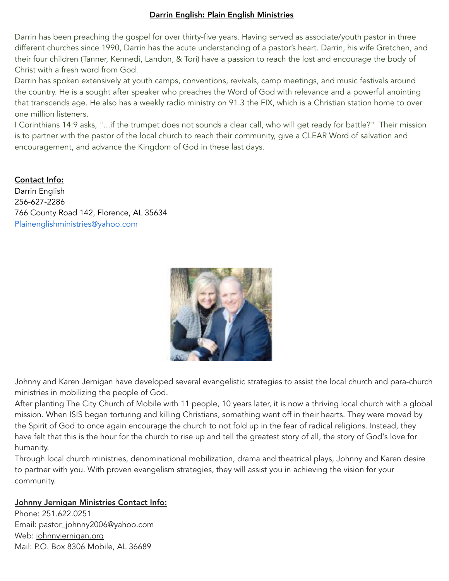### Darrin English: Plain English Ministries

Darrin has been preaching the gospel for over thirty-five years. Having served as associate/youth pastor in three different churches since 1990, Darrin has the acute understanding of a pastor's heart. Darrin, his wife Gretchen, and their four children (Tanner, Kennedi, Landon, & Tori) have a passion to reach the lost and encourage the body of Christ with a fresh word from God.

Darrin has spoken extensively at youth camps, conventions, revivals, camp meetings, and music festivals around the country. He is a sought after speaker who preaches the Word of God with relevance and a powerful anointing that transcends age. He also has a weekly radio ministry on 91.3 the FIX, which is a Christian station home to over one million listeners.

I Corinthians 14:9 asks, "...if the trumpet does not sounds a clear call, who will get ready for battle?" Their mission is to partner with the pastor of the local church to reach their community, give a CLEAR Word of salvation and encouragement, and advance the Kingdom of God in these last days.

# Contact Info:

Darrin English 256-627-2286 766 County Road 142, Florence, AL 35634 [Plainenglishministries@yahoo.com](mailto:Plainenglishministries@yahoo.com)



Johnny and Karen Jernigan have developed several evangelistic strategies to assist the local church and para-church ministries in mobilizing the people of God.

After planting The City Church of Mobile with 11 people, 10 years later, it is now a thriving local church with a global mission. When ISIS began torturing and killing Christians, something went off in their hearts. They were moved by the Spirit of God to once again encourage the church to not fold up in the fear of radical religions. Instead, they have felt that this is the hour for the church to rise up and tell the greatest story of all, the story of God's love for humanity.

Through local church ministries, denominational mobilization, drama and theatrical plays, Johnny and Karen desire to partner with you. With proven evangelism strategies, they will assist you in achieving the vision for your community.

## Johnny Jernigan Ministries Contact Info:

Phone: 251.622.0251 Email: pastor\_johnny2006@yahoo.com Web: [johnnyjernigan.org](http://johnnyjernigan.org) Mail: P.O. Box 8306 Mobile, AL 36689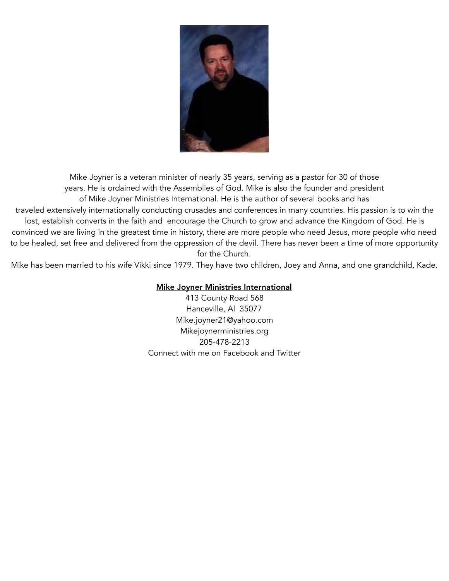

Mike Joyner is a veteran minister of nearly 35 years, serving as a pastor for 30 of those years. He is ordained with the Assemblies of God. Mike is also the founder and president of Mike Joyner Ministries International. He is the author of several books and has traveled extensively internationally conducting crusades and conferences in many countries. His passion is to win the lost, establish converts in the faith and encourage the Church to grow and advance the Kingdom of God. He is convinced we are living in the greatest time in history, there are more people who need Jesus, more people who need to be healed, set free and delivered from the oppression of the devil. There has never been a time of more opportunity for the Church.

Mike has been married to his wife Vikki since 1979. They have two children, Joey and Anna, and one grandchild, Kade.

## Mike Joyner Ministries International

413 County Road 568 Hanceville, Al 35077 Mike.joyner21@yahoo.com Mikejoynerministries.org 205-478-2213 Connect with me on Facebook and Twitter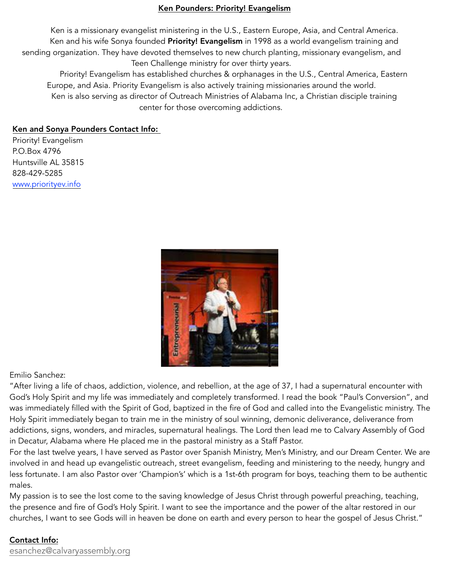## Ken Pounders: Priority! Evangelism

Ken is a missionary evangelist ministering in the U.S., Eastern Europe, Asia, and Central America. Ken and his wife Sonya founded Priority! Evangelism in 1998 as a world evangelism training and sending organization. They have devoted themselves to new church planting, missionary evangelism, and Teen Challenge ministry for over thirty years.

 Priority! Evangelism has established churches & orphanages in the U.S., Central America, Eastern Europe, and Asia. Priority Evangelism is also actively training missionaries around the world. Ken is also serving as director of Outreach Ministries of Alabama Inc, a Christian disciple training center for those overcoming addictions.

### Ken and Sonya Pounders Contact Info:

Priority! Evangelism P.O.Box 4796 Huntsville AL 35815 828-429-5285 [www.priorityev.info](http://www.priorityev.info)



Emilio Sanchez:

"After living a life of chaos, addiction, violence, and rebellion, at the age of 37, I had a supernatural encounter with God's Holy Spirit and my life was immediately and completely transformed. I read the book "Paul's Conversion", and was immediately filled with the Spirit of God, baptized in the fire of God and called into the Evangelistic ministry. The Holy Spirit immediately began to train me in the ministry of soul winning, demonic deliverance, deliverance from addictions, signs, wonders, and miracles, supernatural healings. The Lord then lead me to Calvary Assembly of God in Decatur, Alabama where He placed me in the pastoral ministry as a Staff Pastor.

For the last twelve years, I have served as Pastor over Spanish Ministry, Men's Ministry, and our Dream Center. We are involved in and head up evangelistic outreach, street evangelism, feeding and ministering to the needy, hungry and less fortunate. I am also Pastor over 'Champion's' which is a 1st-6th program for boys, teaching them to be authentic males.

My passion is to see the lost come to the saving knowledge of Jesus Christ through powerful preaching, teaching, the presence and fire of God's Holy Spirit. I want to see the importance and the power of the altar restored in our churches, I want to see Gods will in heaven be done on earth and every person to hear the gospel of Jesus Christ."

# Contact Info:

[esanchez@calvaryassembly.org](mailto:esanchez@calvaryassembly.org)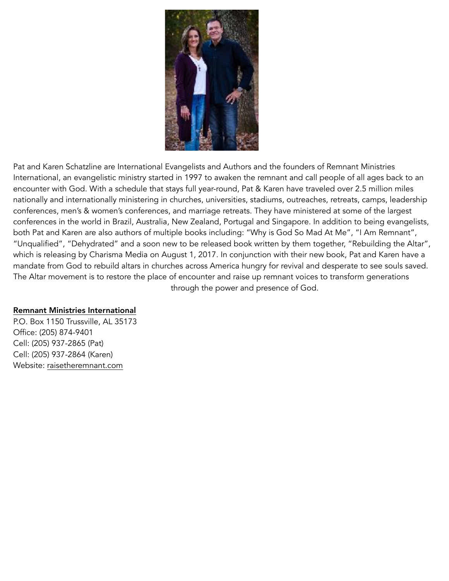

Pat and Karen Schatzline are International Evangelists and Authors and the founders of Remnant Ministries International, an evangelistic ministry started in 1997 to awaken the remnant and call people of all ages back to an encounter with God. With a schedule that stays full year-round, Pat & Karen have traveled over 2.5 million miles nationally and internationally ministering in churches, universities, stadiums, outreaches, retreats, camps, leadership conferences, men's & women's conferences, and marriage retreats. They have ministered at some of the largest conferences in the world in Brazil, Australia, New Zealand, Portugal and Singapore. In addition to being evangelists, both Pat and Karen are also authors of multiple books including: "Why is God So Mad At Me", "I Am Remnant", "Unqualified", "Dehydrated" and a soon new to be released book written by them together, "Rebuilding the Altar", which is releasing by Charisma Media on August 1, 2017. In conjunction with their new book, Pat and Karen have a mandate from God to rebuild altars in churches across America hungry for revival and desperate to see souls saved. The Altar movement is to restore the place of encounter and raise up remnant voices to transform generations through the power and presence of God.

#### Remnant Ministries International

P.O. Box 1150 Trussville, AL 35173 Office: (205) 874-9401 Cell: (205) 937-2865 (Pat) Cell: (205) 937-2864 (Karen) Website: [raisetheremnant.com](http://raisetheremnant.com)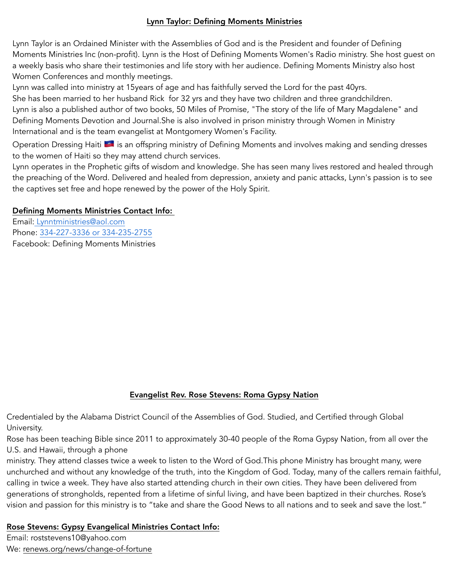# Lynn Taylor: Defining Moments Ministries

Lynn Taylor is an Ordained Minister with the Assemblies of God and is the President and founder of Defining Moments Ministries Inc (non-profit). Lynn is the Host of Defining Moments Women's Radio ministry. She host guest on a weekly basis who share their testimonies and life story with her audience. Defining Moments Ministry also host Women Conferences and monthly meetings.

Lynn was called into ministry at 15years of age and has faithfully served the Lord for the past 40yrs.

She has been married to her husband Rick for 32 yrs and they have two children and three grandchildren.

Lynn is also a published author of two books, 50 Miles of Promise, "The story of the life of Mary Magdalene" and Defining Moments Devotion and Journal.She is also involved in prison ministry through Women in Ministry International and is the team evangelist at Montgomery Women's Facility.

Operation Dressing Haiti **but is an offspring ministry of Defining Moments and involves making and sending dresses** to the women of Haiti so they may attend church services.

Lynn operates in the Prophetic gifts of wisdom and knowledge. She has seen many lives restored and healed through the preaching of the Word. Delivered and healed from depression, anxiety and panic attacks, Lynn's passion is to see the captives set free and hope renewed by the power of the Holy Spirit.

## Defining Moments Ministries Contact Info:

Email: [Lynntministries@aol.com](mailto:Lynntministries@aol.com) Phone: 334-227-3336 or 334-235-2755 Facebook: Defining Moments Ministries

# Evangelist Rev. Rose Stevens: Roma Gypsy Nation

Credentialed by the Alabama District Council of the Assemblies of God. Studied, and Certified through Global University.

Rose has been teaching Bible since 2011 to approximately 30-40 people of the Roma Gypsy Nation, from all over the U.S. and Hawaii, through a phone

ministry. They attend classes twice a week to listen to the Word of God.This phone Ministry has brought many, were unchurched and without any knowledge of the truth, into the Kingdom of God. Today, many of the callers remain faithful, calling in twice a week. They have also started attending church in their own cities. They have been delivered from generations of strongholds, repented from a lifetime of sinful living, and have been baptized in their churches. Rose's vision and passion for this ministry is to "take and share the Good News to all nations and to seek and save the lost."

## Rose Stevens: Gypsy Evangelical Ministries Contact Info:

Email: [roststevens10@yahoo.com](mailto:roststevens10@yahoo.com) We: [renews.org/news/change-of-fortune](http://renews.org/news/change-of-fortune)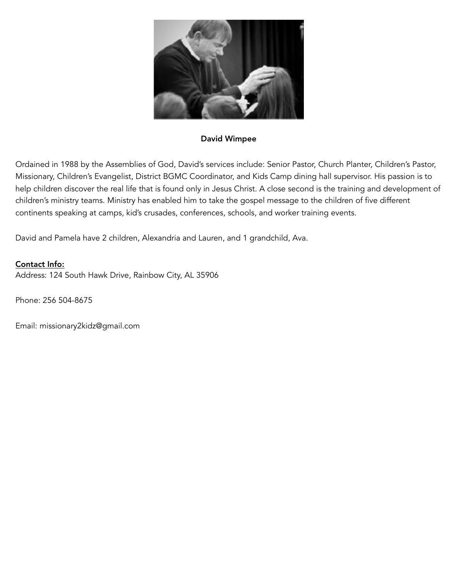

#### David Wimpee

Ordained in 1988 by the Assemblies of God, David's services include: Senior Pastor, Church Planter, Children's Pastor, Missionary, Children's Evangelist, District BGMC Coordinator, and Kids Camp dining hall supervisor. His passion is to help children discover the real life that is found only in Jesus Christ. A close second is the training and development of children's ministry teams. Ministry has enabled him to take the gospel message to the children of five different continents speaking at camps, kid's crusades, conferences, schools, and worker training events.

David and Pamela have 2 children, Alexandria and Lauren, and 1 grandchild, Ava.

### Contact Info:

Address: 124 South Hawk Drive, Rainbow City, AL 35906

Phone: 256 504-8675

Email: missionary2kidz@gmail.com